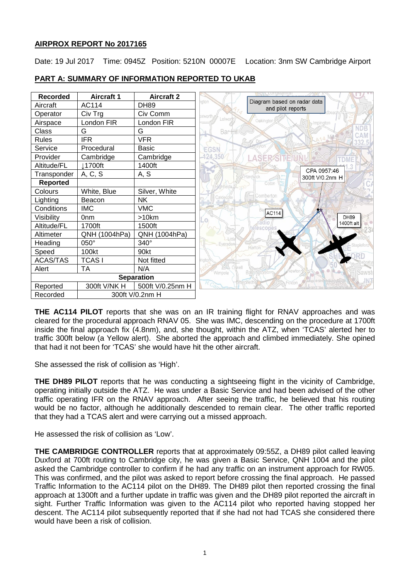# **AIRPROX REPORT No 2017165**

Date: 19 Jul 2017 Time: 0945Z Position: 5210N 00007E Location: 3nm SW Cambridge Airport



# **PART A: SUMMARY OF INFORMATION REPORTED TO UKAB**

**THE AC114 PILOT** reports that she was on an IR training flight for RNAV approaches and was cleared for the procedural approach RNAV 05. She was IMC, descending on the procedure at 1700ft inside the final approach fix (4.8nm), and, she thought, within the ATZ, when 'TCAS' alerted her to traffic 300ft below (a Yellow alert). She aborted the approach and climbed immediately. She opined that had it not been for 'TCAS' she would have hit the other aircraft.

She assessed the risk of collision as 'High'.

**THE DH89 PILOT** reports that he was conducting a sightseeing flight in the vicinity of Cambridge, operating initially outside the ATZ. He was under a Basic Service and had been advised of the other traffic operating IFR on the RNAV approach. After seeing the traffic, he believed that his routing would be no factor, although he additionally descended to remain clear. The other traffic reported that they had a TCAS alert and were carrying out a missed approach.

He assessed the risk of collision as 'Low'.

**THE CAMBRIDGE CONTROLLER** reports that at approximately 09:55Z, a DH89 pilot called leaving Duxford at 700ft routing to Cambridge city, he was given a Basic Service, QNH 1004 and the pilot asked the Cambridge controller to confirm if he had any traffic on an instrument approach for RW05. This was confirmed, and the pilot was asked to report before crossing the final approach. He passed Traffic Information to the AC114 pilot on the DH89. The DH89 pilot then reported crossing the final approach at 1300ft and a further update in traffic was given and the DH89 pilot reported the aircraft in sight. Further Traffic Information was given to the AC114 pilot who reported having stopped her descent. The AC114 pilot subsequently reported that if she had not had TCAS she considered there would have been a risk of collision.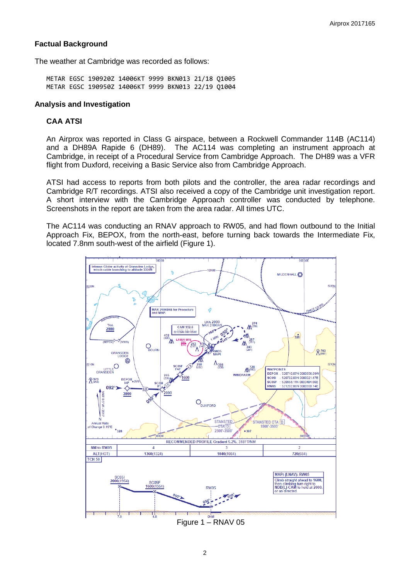# **Factual Background**

The weather at Cambridge was recorded as follows:

METAR EGSC 190920Z 14006KT 9999 BKN013 21/18 Q1005 METAR EGSC 190950Z 14006KT 9999 BKN013 22/19 Q1004

### **Analysis and Investigation**

# **CAA ATSI**

An Airprox was reported in Class G airspace, between a Rockwell Commander 114B (AC114) and a DH89A Rapide 6 (DH89). The AC114 was completing an instrument approach at Cambridge, in receipt of a Procedural Service from Cambridge Approach. The DH89 was a VFR flight from Duxford, receiving a Basic Service also from Cambridge Approach.

ATSI had access to reports from both pilots and the controller, the area radar recordings and Cambridge R/T recordings. ATSI also received a copy of the Cambridge unit investigation report. A short interview with the Cambridge Approach controller was conducted by telephone. Screenshots in the report are taken from the area radar. All times UTC.

The AC114 was conducting an RNAV approach to RW05, and had flown outbound to the Initial Approach Fix, BEPOX, from the north-east, before turning back towards the Intermediate Fix, located 7.8nm south-west of the airfield (Figure 1).



Figure 1 – RNAV 05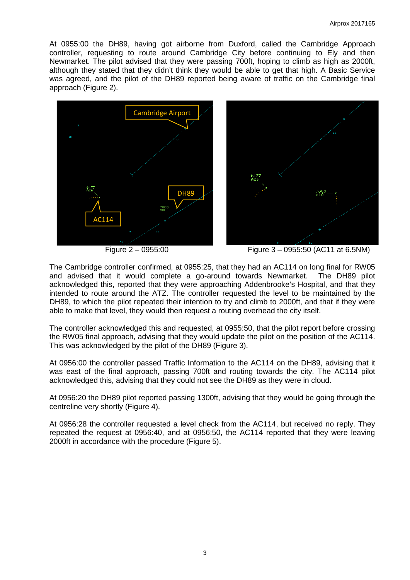At 0955:00 the DH89, having got airborne from Duxford, called the Cambridge Approach controller, requesting to route around Cambridge City before continuing to Ely and then Newmarket. The pilot advised that they were passing 700ft, hoping to climb as high as 2000ft, although they stated that they didn't think they would be able to get that high. A Basic Service was agreed, and the pilot of the DH89 reported being aware of traffic on the Cambridge final approach (Figure 2).



Figure 2 – 0955:00 Figure 3 – 0955:50 (AC11 at 6.5NM)

The Cambridge controller confirmed, at 0955:25, that they had an AC114 on long final for RW05 and advised that it would complete a go-around towards Newmarket. The DH89 pilot acknowledged this, reported that they were approaching Addenbrooke's Hospital, and that they intended to route around the ATZ. The controller requested the level to be maintained by the DH89, to which the pilot repeated their intention to try and climb to 2000ft, and that if they were able to make that level, they would then request a routing overhead the city itself.

The controller acknowledged this and requested, at 0955:50, that the pilot report before crossing the RW05 final approach, advising that they would update the pilot on the position of the AC114. This was acknowledged by the pilot of the DH89 (Figure 3).

At 0956:00 the controller passed Traffic Information to the AC114 on the DH89, advising that it was east of the final approach, passing 700ft and routing towards the city. The AC114 pilot acknowledged this, advising that they could not see the DH89 as they were in cloud.

At 0956:20 the DH89 pilot reported passing 1300ft, advising that they would be going through the centreline very shortly (Figure 4).

At 0956:28 the controller requested a level check from the AC114, but received no reply. They repeated the request at 0956:40, and at 0956:50, the AC114 reported that they were leaving 2000ft in accordance with the procedure (Figure 5).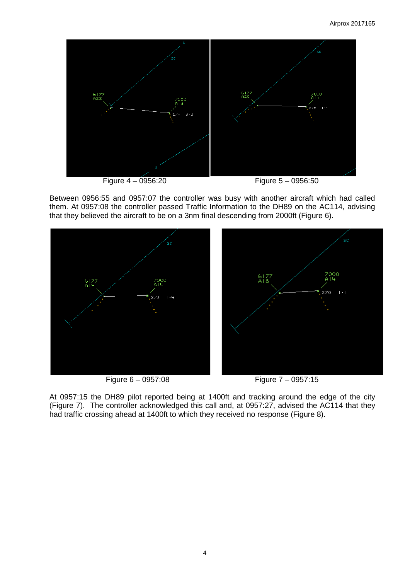

Between 0956:55 and 0957:07 the controller was busy with another aircraft which had called them. At 0957:08 the controller passed Traffic Information to the DH89 on the AC114, advising that they believed the aircraft to be on a 3nm final descending from 2000ft (Figure 6).



At 0957:15 the DH89 pilot reported being at 1400ft and tracking around the edge of the city (Figure 7). The controller acknowledged this call and, at 0957:27, advised the AC114 that they had traffic crossing ahead at 1400ft to which they received no response (Figure 8).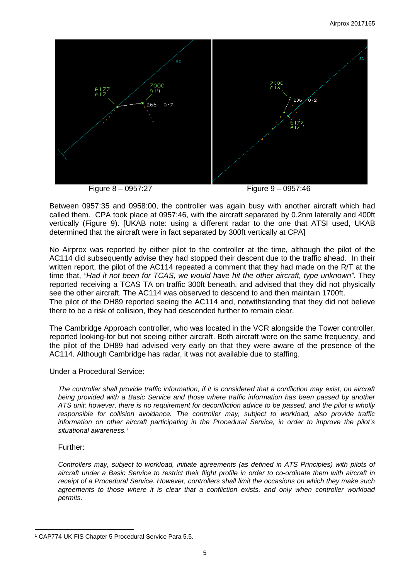

Figure 8 – 0957:27 Figure 9 – 0957:46

Between 0957:35 and 0958:00, the controller was again busy with another aircraft which had called them. CPA took place at 0957:46, with the aircraft separated by 0.2nm laterally and 400ft vertically (Figure 9). [UKAB note: using a different radar to the one that ATSI used, UKAB determined that the aircraft were in fact separated by 300ft vertically at CPA]

No Airprox was reported by either pilot to the controller at the time, although the pilot of the AC114 did subsequently advise they had stopped their descent due to the traffic ahead. In their written report, the pilot of the AC114 repeated a comment that they had made on the R/T at the time that, *"Had it not been for TCAS, we would have hit the other aircraft, type unknown"*. They reported receiving a TCAS TA on traffic 300ft beneath, and advised that they did not physically see the other aircraft. The AC114 was observed to descend to and then maintain 1700ft. The pilot of the DH89 reported seeing the AC114 and, notwithstanding that they did not believe there to be a risk of collision, they had descended further to remain clear.

The Cambridge Approach controller, who was located in the VCR alongside the Tower controller, reported looking-for but not seeing either aircraft. Both aircraft were on the same frequency, and the pilot of the DH89 had advised very early on that they were aware of the presence of the AC114. Although Cambridge has radar, it was not available due to staffing.

Under a Procedural Service:

*The controller shall provide traffic information, if it is considered that a confliction may exist, on aircraft being provided with a Basic Service and those where traffic information has been passed by another ATS unit; however, there is no requirement for deconfliction advice to be passed, and the pilot is wholly responsible for collision avoidance. The controller may, subject to workload, also provide traffic information on other aircraft participating in the Procedural Service, in order to improve the pilot's situational awareness.[1](#page-4-0)*

# Further:

 $\overline{\phantom{a}}$ 

*Controllers may, subject to workload, initiate agreements (as defined in ATS Principles) with pilots of aircraft under a Basic Service to restrict their flight profile in order to co-ordinate them with aircraft in receipt of a Procedural Service. However, controllers shall limit the occasions on which they make such agreements to those where it is clear that a confliction exists, and only when controller workload permits.* 

<span id="page-4-0"></span><sup>1</sup> CAP774 UK FIS Chapter 5 Procedural Service Para 5.5.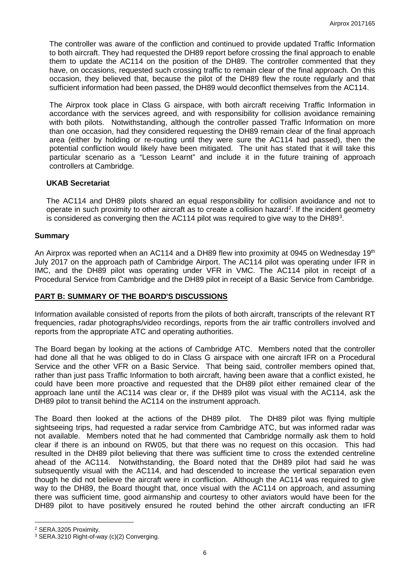The controller was aware of the confliction and continued to provide updated Traffic Information to both aircraft. They had requested the DH89 report before crossing the final approach to enable them to update the AC114 on the position of the DH89. The controller commented that they have, on occasions, requested such crossing traffic to remain clear of the final approach. On this occasion, they believed that, because the pilot of the DH89 flew the route regularly and that sufficient information had been passed, the DH89 would deconflict themselves from the AC114.

The Airprox took place in Class G airspace, with both aircraft receiving Traffic Information in accordance with the services agreed, and with responsibility for collision avoidance remaining with both pilots. Notwithstanding, although the controller passed Traffic Information on more than one occasion, had they considered requesting the DH89 remain clear of the final approach area (either by holding or re-routing until they were sure the AC114 had passed), then the potential confliction would likely have been mitigated. The unit has stated that it will take this particular scenario as a "Lesson Learnt" and include it in the future training of approach controllers at Cambridge.

### **UKAB Secretariat**

The AC114 and DH89 pilots shared an equal responsibility for collision avoidance and not to operate in such proximity to other aircraft as to create a collision hazard<sup>[2](#page-5-0)</sup>. If the incident geometry is considered as converging then the AC114 pilot was required to give way to the DH89<sup>[3](#page-5-1)</sup>.

### **Summary**

An Airprox was reported when an AC114 and a DH89 flew into proximity at 0945 on Wednesday 19th July 2017 on the approach path of Cambridge Airport. The AC114 pilot was operating under IFR in IMC, and the DH89 pilot was operating under VFR in VMC. The AC114 pilot in receipt of a Procedural Service from Cambridge and the DH89 pilot in receipt of a Basic Service from Cambridge.

# **PART B: SUMMARY OF THE BOARD'S DISCUSSIONS**

Information available consisted of reports from the pilots of both aircraft, transcripts of the relevant RT frequencies, radar photographs/video recordings, reports from the air traffic controllers involved and reports from the appropriate ATC and operating authorities.

The Board began by looking at the actions of Cambridge ATC. Members noted that the controller had done all that he was obliged to do in Class G airspace with one aircraft IFR on a Procedural Service and the other VFR on a Basic Service. That being said, controller members opined that, rather than just pass Traffic Information to both aircraft, having been aware that a conflict existed, he could have been more proactive and requested that the DH89 pilot either remained clear of the approach lane until the AC114 was clear or, if the DH89 pilot was visual with the AC114, ask the DH89 pilot to transit behind the AC114 on the instrument approach.

The Board then looked at the actions of the DH89 pilot. The DH89 pilot was flying multiple sightseeing trips, had requested a radar service from Cambridge ATC, but was informed radar was not available. Members noted that he had commented that Cambridge normally ask them to hold clear if there is an inbound on RW05, but that there was no request on this occasion. This had resulted in the DH89 pilot believing that there was sufficient time to cross the extended centreline ahead of the AC114. Notwithstanding, the Board noted that the DH89 pilot had said he was subsequently visual with the AC114, and had descended to increase the vertical separation even though he did not believe the aircraft were in confliction. Although the AC114 was required to give way to the DH89, the Board thought that, once visual with the AC114 on approach, and assuming there was sufficient time, good airmanship and courtesy to other aviators would have been for the DH89 pilot to have positively ensured he routed behind the other aircraft conducting an IFR

l

<span id="page-5-0"></span><sup>2</sup> SERA.3205 Proximity.

<span id="page-5-1"></span><sup>3</sup> SERA.3210 Right-of-way (c)(2) Converging.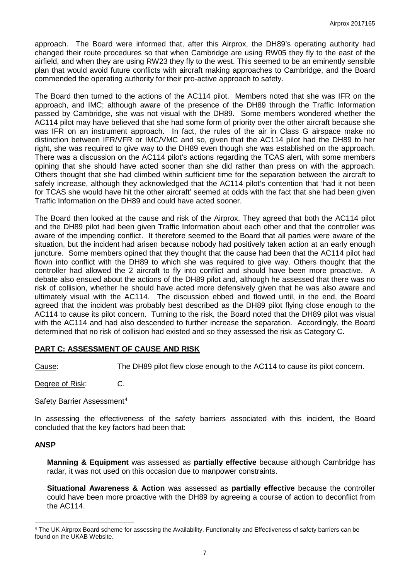approach. The Board were informed that, after this Airprox, the DH89's operating authority had changed their route procedures so that when Cambridge are using RW05 they fly to the east of the airfield, and when they are using RW23 they fly to the west. This seemed to be an eminently sensible plan that would avoid future conflicts with aircraft making approaches to Cambridge, and the Board commended the operating authority for their pro-active approach to safety.

The Board then turned to the actions of the AC114 pilot. Members noted that she was IFR on the approach, and IMC; although aware of the presence of the DH89 through the Traffic Information passed by Cambridge, she was not visual with the DH89. Some members wondered whether the AC114 pilot may have believed that she had some form of priority over the other aircraft because she was IFR on an instrument approach. In fact, the rules of the air in Class G airspace make no distinction between IFR/VFR or IMC/VMC and so, given that the AC114 pilot had the DH89 to her right, she was required to give way to the DH89 even though she was established on the approach. There was a discussion on the AC114 pilot's actions regarding the TCAS alert, with some members opining that she should have acted sooner than she did rather than press on with the approach. Others thought that she had climbed within sufficient time for the separation between the aircraft to safely increase, although they acknowledged that the AC114 pilot's contention that 'had it not been for TCAS she would have hit the other aircraft' seemed at odds with the fact that she had been given Traffic Information on the DH89 and could have acted sooner.

The Board then looked at the cause and risk of the Airprox. They agreed that both the AC114 pilot and the DH89 pilot had been given Traffic Information about each other and that the controller was aware of the impending conflict. It therefore seemed to the Board that all parties were aware of the situation, but the incident had arisen because nobody had positively taken action at an early enough juncture. Some members opined that they thought that the cause had been that the AC114 pilot had flown into conflict with the DH89 to which she was required to give way. Others thought that the controller had allowed the 2 aircraft to fly into conflict and should have been more proactive. A debate also ensued about the actions of the DH89 pilot and, although he assessed that there was no risk of collision, whether he should have acted more defensively given that he was also aware and ultimately visual with the AC114. The discussion ebbed and flowed until, in the end, the Board agreed that the incident was probably best described as the DH89 pilot flying close enough to the AC114 to cause its pilot concern. Turning to the risk, the Board noted that the DH89 pilot was visual with the AC114 and had also descended to further increase the separation. Accordingly, the Board determined that no risk of collision had existed and so they assessed the risk as Category C.

# **PART C: ASSESSMENT OF CAUSE AND RISK**

Cause: The DH89 pilot flew close enough to the AC114 to cause its pilot concern.

Degree of Risk: C.

#### Safety Barrier Assessment<sup>[4](#page-6-0)</sup>

In assessing the effectiveness of the safety barriers associated with this incident, the Board concluded that the key factors had been that:

# **ANSP**

l

**Manning & Equipment** was assessed as **partially effective** because although Cambridge has radar, it was not used on this occasion due to manpower constraints.

**Situational Awareness & Action** was assessed as **partially effective** because the controller could have been more proactive with the DH89 by agreeing a course of action to deconflict from the AC114.

<span id="page-6-0"></span><sup>4</sup> The UK Airprox Board scheme for assessing the Availability, Functionality and Effectiveness of safety barriers can be found on the [UKAB Website.](http://www.airproxboard.org.uk/Learn-more/Airprox-Barrier-Assessment/)